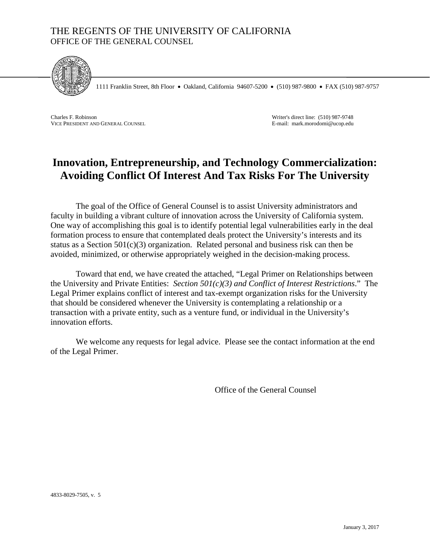### THE REGENTS OF THE UNIVERSITY OF CALIFORNIA OFFICE OF THE GENERAL COUNSEL



1111 Franklin Street, 8th Floor • Oakland, California 94607-5200 • (510) 987-9800 • FAX (510) 987-9757

Charles F. Robinson VICE PRESIDENT AND GENERAL COUNSEL

Writer's direct line: (510) 987-9748 E-mail: mark.morodomi@ucop.edu

# **Innovation, Entrepreneurship, and Technology Commercialization: Avoiding Conflict Of Interest And Tax Risks For The University**

The goal of the Office of General Counsel is to assist University administrators and faculty in building a vibrant culture of innovation across the University of California system. One way of accomplishing this goal is to identify potential legal vulnerabilities early in the deal formation process to ensure that contemplated deals protect the University's interests and its status as a Section 501(c)(3) organization. Related personal and business risk can then be avoided, minimized, or otherwise appropriately weighed in the decision-making process.

Toward that end, we have created the attached, "Legal Primer on Relationships between the University and Private Entities: *Section 501(c)(3) and Conflict of Interest Restrictions*." The Legal Primer explains conflict of interest and tax-exempt organization risks for the University that should be considered whenever the University is contemplating a relationship or a transaction with a private entity, such as a venture fund, or individual in the University's innovation efforts.

We welcome any requests for legal advice. Please see the contact information at the end of the Legal Primer.

Office of the General Counsel

4833-8029-7505, v. 5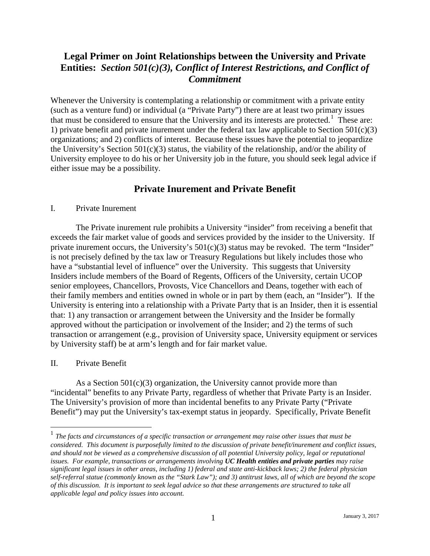## **Legal Primer on Joint Relationships between the University and Private Entities:** *Section 501(c)(3), Conflict of Interest Restrictions, and Conflict of Commitment*

Whenever the University is contemplating a relationship or commitment with a private entity (such as a venture fund) or individual (a "Private Party") there are at least two primary issues that must be considered to ensure that the University and its interests are protected.<sup>[1](#page-1-0)</sup> These are: 1) private benefit and private inurement under the federal tax law applicable to Section 501(c)(3) organizations; and 2) conflicts of interest. Because these issues have the potential to jeopardize the University's Section 501(c)(3) status, the viability of the relationship, and/or the ability of University employee to do his or her University job in the future, you should seek legal advice if either issue may be a possibility.

### **Private Inurement and Private Benefit**

#### I. Private Inurement

The Private inurement rule prohibits a University "insider" from receiving a benefit that exceeds the fair market value of goods and services provided by the insider to the University. If private inurement occurs, the University's  $501(c)(3)$  status may be revoked. The term "Insider" is not precisely defined by the tax law or Treasury Regulations but likely includes those who have a "substantial level of influence" over the University. This suggests that University Insiders include members of the Board of Regents, Officers of the University, certain UCOP senior employees, Chancellors, Provosts, Vice Chancellors and Deans, together with each of their family members and entities owned in whole or in part by them (each, an "Insider"). If the University is entering into a relationship with a Private Party that is an Insider, then it is essential that: 1) any transaction or arrangement between the University and the Insider be formally approved without the participation or involvement of the Insider; and 2) the terms of such transaction or arrangement (e.g., provision of University space, University equipment or services by University staff) be at arm's length and for fair market value.

#### II. Private Benefit

As a Section 501(c)(3) organization, the University cannot provide more than "incidental" benefits to any Private Party, regardless of whether that Private Party is an Insider. The University's provision of more than incidental benefits to any Private Party ("Private Benefit") may put the University's tax-exempt status in jeopardy. Specifically, Private Benefit

<span id="page-1-0"></span> <sup>1</sup> *The facts and circumstances of a specific transaction or arrangement may raise other issues that must be considered. This document is purposefully limited to the discussion of private benefit/inurement and conflict issues, and should not be viewed as a comprehensive discussion of all potential University policy, legal or reputational issues. For example, transactions or arrangements involving UC Health entities and private parties may raise significant legal issues in other areas, including 1) federal and state anti-kickback laws; 2) the federal physician self-referral statue (commonly known as the "Stark Law"); and 3) antitrust laws, all of which are beyond the scope of this discussion. It is important to seek legal advice so that these arrangements are structured to take all applicable legal and policy issues into account.*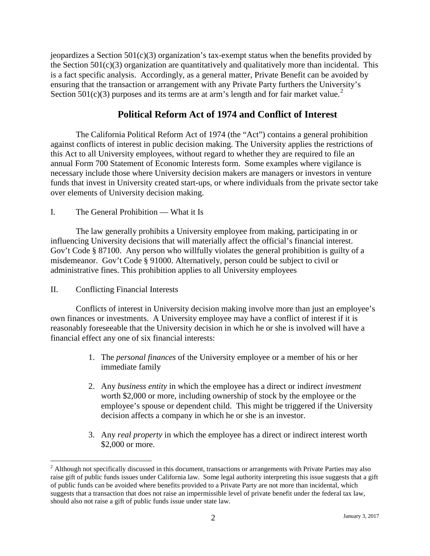jeopardizes a Section  $501(c)(3)$  organization's tax-exempt status when the benefits provided by the Section  $501(c)(3)$  organization are quantitatively and qualitatively more than incidental. This is a fact specific analysis. Accordingly, as a general matter, Private Benefit can be avoided by ensuring that the transaction or arrangement with any Private Party furthers the University's Section  $501(c)(3)$  purposes and its terms are at arm's length and for fair market value.<sup>[2](#page-2-0)</sup>

## **Political Reform Act of 1974 and Conflict of Interest**

The California Political Reform Act of 1974 (the "Act") contains a general prohibition against conflicts of interest in public decision making. The University applies the restrictions of this Act to all University employees, without regard to whether they are required to file an annual Form 700 Statement of Economic Interests form. Some examples where vigilance is necessary include those where University decision makers are managers or investors in venture funds that invest in University created start-ups, or where individuals from the private sector take over elements of University decision making.

#### I. The General Prohibition — What it Is

The law generally prohibits a University employee from making, participating in or influencing University decisions that will materially affect the official's financial interest. Gov't Code § 87100. Any person who willfully violates the general prohibition is guilty of a misdemeanor. Gov't Code § 91000. Alternatively, person could be subject to civil or administrative fines. This prohibition applies to all University employees

#### II. Conflicting Financial Interests

Conflicts of interest in University decision making involve more than just an employee's own finances or investments. A University employee may have a conflict of interest if it is reasonably foreseeable that the University decision in which he or she is involved will have a financial effect any one of six financial interests:

- 1. The *personal finances* of the University employee or a member of his or her immediate family
- 2. Any *business entity* in which the employee has a direct or indirect *investment* worth \$2,000 or more, including ownership of stock by the employee or the employee's spouse or dependent child. This might be triggered if the University decision affects a company in which he or she is an investor.
- 3. Any *real property* in which the employee has a direct or indirect interest worth \$2,000 or more.

<span id="page-2-0"></span> $2$  Although not specifically discussed in this document, transactions or arrangements with Private Parties may also raise gift of public funds issues under California law. Some legal authority interpreting this issue suggests that a gift of public funds can be avoided where benefits provided to a Private Party are not more than incidental, which suggests that a transaction that does not raise an impermissible level of private benefit under the federal tax law, should also not raise a gift of public funds issue under state law.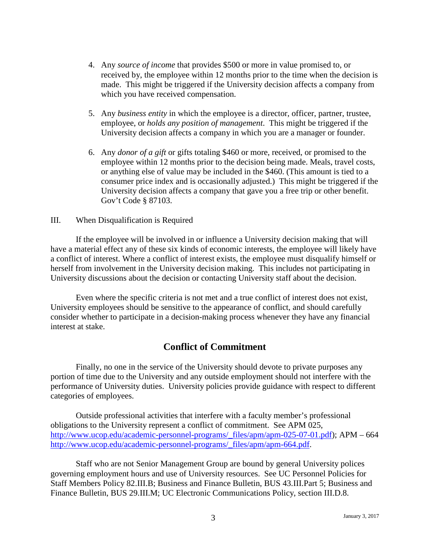- 4. Any *source of income* that provides \$500 or more in value promised to, or received by, the employee within 12 months prior to the time when the decision is made. This might be triggered if the University decision affects a company from which you have received compensation.
- 5. Any *business entity* in which the employee is a director, officer, partner, trustee, employee, or *holds any position of management*. This might be triggered if the University decision affects a company in which you are a manager or founder.
- 6. Any *donor of a gift* or gifts totaling \$460 or more, received, or promised to the employee within 12 months prior to the decision being made. Meals, travel costs, or anything else of value may be included in the \$460. (This amount is tied to a consumer price index and is occasionally adjusted.) This might be triggered if the University decision affects a company that gave you a free trip or other benefit. Gov't Code § 87103.

#### III. When Disqualification is Required

If the employee will be involved in or influence a University decision making that will have a material effect any of these six kinds of economic interests, the employee will likely have a conflict of interest. Where a conflict of interest exists, the employee must disqualify himself or herself from involvement in the University decision making. This includes not participating in University discussions about the decision or contacting University staff about the decision.

Even where the specific criteria is not met and a true conflict of interest does not exist, University employees should be sensitive to the appearance of conflict, and should carefully consider whether to participate in a decision-making process whenever they have any financial interest at stake.

### **Conflict of Commitment**

Finally, no one in the service of the University should devote to private purposes any portion of time due to the University and any outside employment should not interfere with the performance of University duties. University policies provide guidance with respect to different categories of employees.

Outside professional activities that interfere with a faculty member's professional obligations to the University represent a conflict of commitment. See APM 025, [http://www.ucop.edu/academic-personnel-programs/\\_files/apm/apm-025-07-01.pdf\)](http://www.ucop.edu/academic-personnel-programs/_files/apm/apm-025-07-01.pdf); APM – 664 [http://www.ucop.edu/academic-personnel-programs/\\_files/apm/apm-664.pdf.](http://www.ucop.edu/academic-personnel-programs/_files/apm/apm-664.pdf)

Staff who are not Senior Management Group are bound by general University polices governing employment hours and use of University resources. See UC Personnel Policies for Staff Members Policy 82.III.B; Business and Finance Bulletin, BUS 43.III.Part 5; Business and Finance Bulletin, BUS 29.III.M; UC Electronic Communications Policy, section III.D.8.